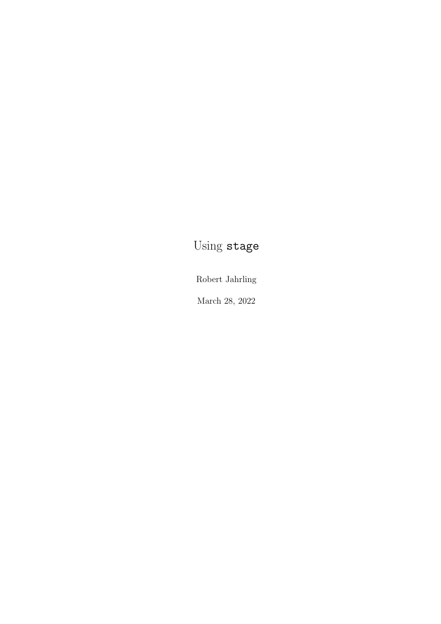## Using stage

Robert Jahrling

March 28, 2022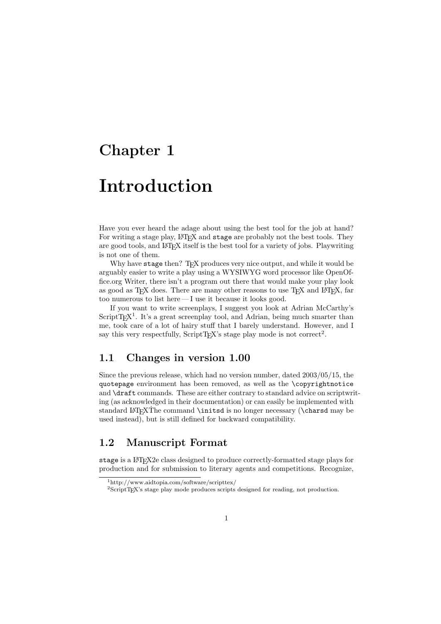## Chapter 1

# Introduction

Have you ever heard the adage about using the best tool for the job at hand? For writing a stage play, LATEX and stage are probably not the best tools. They are good tools, and LATEX itself is the best tool for a variety of jobs. Playwriting is not one of them.

Why have stage then? TFX produces very nice output, and while it would be arguably easier to write a play using a WYSIWYG word processor like OpenOffice.org Writer, there isn't a program out there that would make your play look as good as TEX does. There are many other reasons to use TEX and L<sup>AT</sup>EX, far too numerous to list here — I use it because it looks good.

If you want to write screenplays, I suggest you look at Adrian McCarthy's  $ScriptT<sub>E</sub>X<sup>1</sup>$ . It's a great screenplay tool, and Adrian, being much smarter than me, took care of a lot of hairy stuff that I barely understand. However, and I say this very respectfully, ScriptTEX's stage play mode is not correct<sup>2</sup>.

## 1.1 Changes in version 1.00

Since the previous release, which had no version number, dated 2003/05/15, the quotepage environment has been removed, as well as the \copyrightnotice and \draft commands. These are either contrary to standard advice on scriptwriting (as acknowledged in their documentation) or can easily be implemented with standard LATEXThe command \initsd is no longer necessary (\charsd may be used instead), but is still defined for backward compatibility.

### 1.2 Manuscript Format

stage is a LATEX2e class designed to produce correctly-formatted stage plays for production and for submission to literary agents and competitions. Recognize,

<sup>1</sup>http://www.aidtopia.com/software/scripttex/

<sup>2</sup>ScriptTEX's stage play mode produces scripts designed for reading, not production.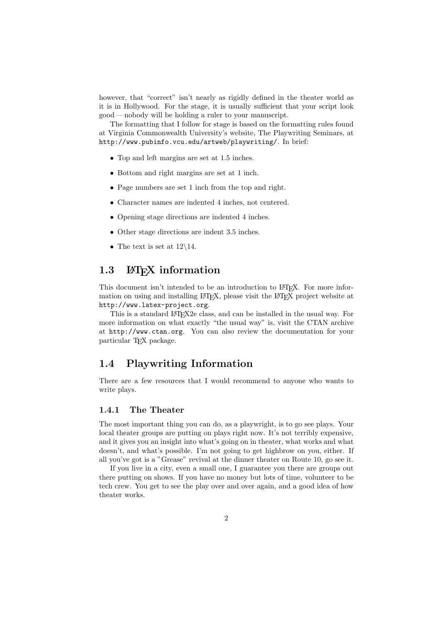however, that "correct" isn't nearly as rigidly defined in the theater world as it is in Hollywood. For the stage, it is usually sufficient that your script look good— nobody will be holding a ruler to your manuscript.

The formatting that I follow for stage is based on the formatting rules found at Virginia Commonwealth University's website, The Playwriting Seminars, at http://www.pubinfo.vcu.edu/artweb/playwriting/. In brief:

- Top and left margins are set at 1.5 inches.
- Bottom and right margins are set at 1 inch.
- Page numbers are set 1 inch from the top and right.
- Character names are indented 4 inches, not centered.
- Opening stage directions are indented 4 inches.
- Other stage directions are indent 3.5 inches.
- The text is set at  $12\backslash 14$ .

## 1.3 LAT<sub>E</sub>X information

This document isn't intended to be an introduction to L<sup>AT</sup>EX. For more information on using and installing LATEX, please visit the LATEX project website at http://www.latex-project.org.

This is a standard LAT<sub>E</sub>X2e class, and can be installed in the usual way. For more information on what exactly "the usual way" is, visit the CTAN archive at http://www.ctan.org. You can also review the documentation for your particular TEX package.

### 1.4 Playwriting Information

There are a few resources that I would recommend to anyone who wants to write plays.

#### 1.4.1 The Theater

The most important thing you can do, as a playwright, is to go see plays. Your local theater groups are putting on plays right now. It's not terribly expensive, and it gives you an insight into what's going on in theater, what works and what doesn't, and what's possible. I'm not going to get highbrow on you, either. If all you've got is a "Grease" revival at the dinner theater on Route 10, go see it.

If you live in a city, even a small one, I guarantee you there are groups out there putting on shows. If you have no money but lots of time, volunteer to be tech crew. You get to see the play over and over again, and a good idea of how theater works.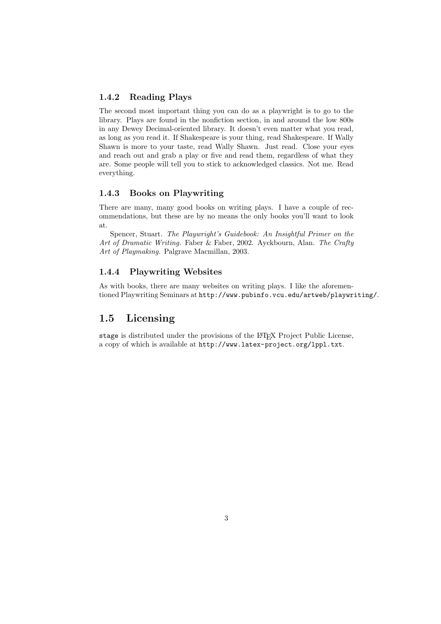#### 1.4.2 Reading Plays

The second most important thing you can do as a playwright is to go to the library. Plays are found in the nonfiction section, in and around the low 800s in any Dewey Decimal-oriented library. It doesn't even matter what you read, as long as you read it. If Shakespeare is your thing, read Shakespeare. If Wally Shawn is more to your taste, read Wally Shawn. Just read. Close your eyes and reach out and grab a play or five and read them, regardless of what they are. Some people will tell you to stick to acknowledged classics. Not me. Read everything.

#### 1.4.3 Books on Playwriting

There are many, many good books on writing plays. I have a couple of recommendations, but these are by no means the only books you'll want to look at.

Spencer, Stuart. The Playwright's Guidebook: An Insightful Primer on the Art of Dramatic Writing. Faber & Faber, 2002. Ayckbourn, Alan. The Crafty Art of Playmaking. Palgrave Macmillan, 2003.

#### 1.4.4 Playwriting Websites

As with books, there are many websites on writing plays. I like the aforementioned Playwriting Seminars at http://www.pubinfo.vcu.edu/artweb/playwriting/.

## 1.5 Licensing

stage is distributed under the provisions of the LATEX Project Public License, a copy of which is available at http://www.latex-project.org/lppl.txt.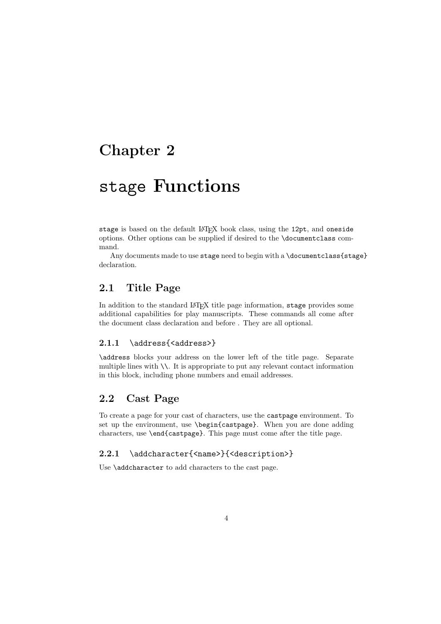## Chapter 2

# stage Functions

stage is based on the default LATEX book class, using the 12pt, and oneside options. Other options can be supplied if desired to the \documentclass command.

Any documents made to use stage need to begin with a \documentclass{stage} declaration.

## 2.1 Title Page

In addition to the standard LATEX title page information, stage provides some additional capabilities for play manuscripts. These commands all come after the document class declaration and before . They are all optional.

#### 2.1.1 \address{<address>}

\address blocks your address on the lower left of the title page. Separate multiple lines with  $\setminus\setminus$ . It is appropriate to put any relevant contact information in this block, including phone numbers and email addresses.

### 2.2 Cast Page

To create a page for your cast of characters, use the castpage environment. To set up the environment, use \begin{castpage}. When you are done adding characters, use \end{castpage}. This page must come after the title page.

#### 2.2.1 \addcharacter{<name>}{<description>}

Use **\addcharacter** to add characters to the cast page.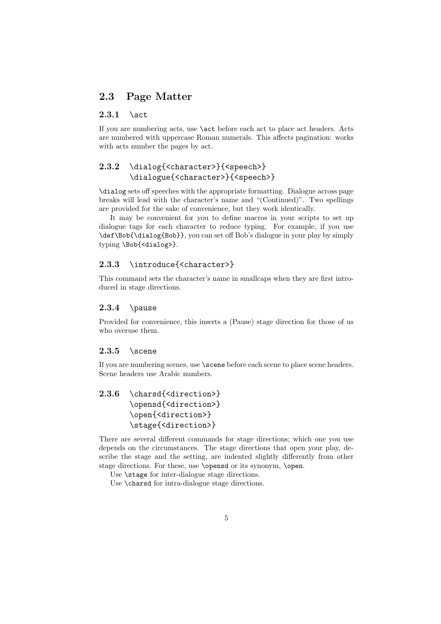## 2.3 Page Matter

#### $2.3.1$  \act

If you are numbering acts, use \act before each act to place act headers. Acts are numbered with uppercase Roman numerals. This affects pagination: works with acts number the pages by act.

## 2.3.2 \dialog{<character>}{<speech>} \dialogue{<character>}{<speech>}

\dialog sets off speeches with the appropriate formatting. Dialogue across page breaks will lead with the character's name and "(Continued)". Two spellings are provided for the sake of convenience, but they work identically.

It may be convenient for you to define macros in your scripts to set up dialogue tags for each character to reduce typing. For example, if you use \def\Bob{\dialog{Bob}}, you can set off Bob's dialogue in your play by simply typing \Bob{<dialog>}.

#### 2.3.3 \introduce{<character>}

This command sets the character's name in smallcaps when they are first introduced in stage directions.

#### $2.3.4$  \pause

Provided for convenience, this inserts a (Pause) stage direction for those of us who overuse them.

#### $2.3.5$  \scene

If you are numbering scenes, use \scene before each scene to place scene headers. Scene headers use Arabic numbers.

```
2.3.6 \charsd{<direction>}
\opensd{<direction>}
\open{<direction>}
\stage{<direction>}
```
There are several different commands for stage directions; which one you use depends on the circumstances. The stage directions that open your play, describe the stage and the setting, are indented slightly differently from other stage directions. For these, use **\opensd** or its synonym, **\open.** 

Use  $\setminus$  stage for inter-dialogue stage directions.

Use **\charsd** for intra-dialogue stage directions.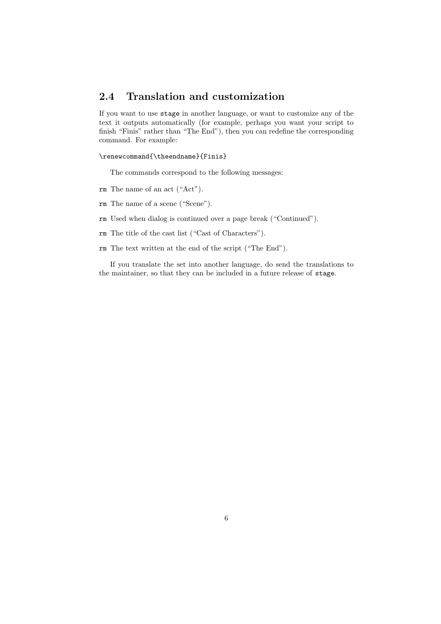## 2.4 Translation and customization

If you want to use stage in another language, or want to customize any of the text it outputs automatically (for example, perhaps you want your script to finish "Finis" rather than "The End"), then you can redefine the corresponding command. For example:

#### \renewcommand{\theendname}{Finis}

The commands correspond to the following messages:

- rm The name of an act ("Act").
- rm The name of a scene ("Scene").
- rm Used when dialog is continued over a page break ("Continued").
- rm The title of the cast list ("Cast of Characters").
- rm The text written at the end of the script ("The End").

If you translate the set into another language, do send the translations to the maintainer, so that they can be included in a future release of stage.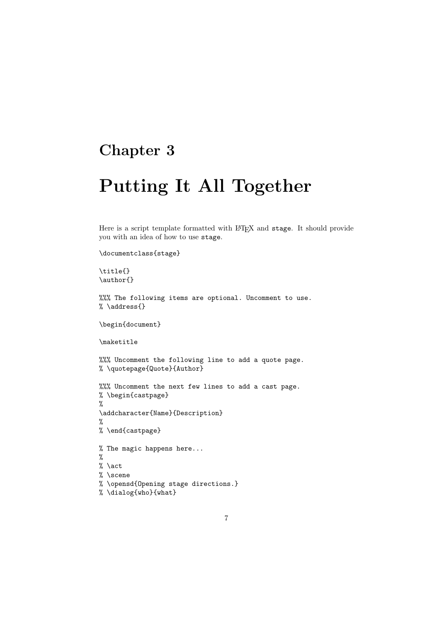## Chapter 3

# Putting It All Together

Here is a script template formatted with LATEX and stage. It should provide you with an idea of how to use stage.

```
\documentclass{stage}
```
\title{} \author{}

%%% The following items are optional. Uncomment to use. % \address{}

\begin{document}

\maketitle

%%% Uncomment the following line to add a quote page. % \quotepage{Quote}{Author}

%%% Uncomment the next few lines to add a cast page. % \begin{castpage} % \addcharacter{Name}{Description} % % \end{castpage} % The magic happens here...

% % \act % \scene % \opensd{Opening stage directions.}

% \dialog{who}{what}